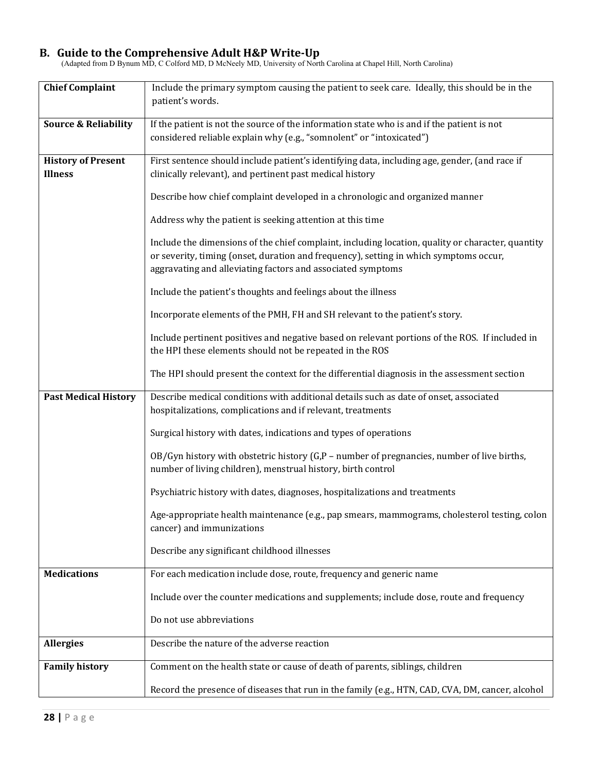## **B. Guide to the Comprehensive Adult H&P Write‐Up**

(Adapted from D Bynum MD, C Colford MD, D McNeely MD, University of North Carolina at Chapel Hill, North Carolina)

| <b>Chief Complaint</b>          | Include the primary symptom causing the patient to seek care. Ideally, this should be in the<br>patient's words.                                                                                                                                          |
|---------------------------------|-----------------------------------------------------------------------------------------------------------------------------------------------------------------------------------------------------------------------------------------------------------|
|                                 |                                                                                                                                                                                                                                                           |
| <b>Source &amp; Reliability</b> | If the patient is not the source of the information state who is and if the patient is not                                                                                                                                                                |
|                                 | considered reliable explain why (e.g., "somnolent" or "intoxicated")                                                                                                                                                                                      |
| <b>History of Present</b>       | First sentence should include patient's identifying data, including age, gender, (and race if                                                                                                                                                             |
| <b>Illness</b>                  | clinically relevant), and pertinent past medical history                                                                                                                                                                                                  |
|                                 | Describe how chief complaint developed in a chronologic and organized manner                                                                                                                                                                              |
|                                 | Address why the patient is seeking attention at this time                                                                                                                                                                                                 |
|                                 | Include the dimensions of the chief complaint, including location, quality or character, quantity<br>or severity, timing (onset, duration and frequency), setting in which symptoms occur,<br>aggravating and alleviating factors and associated symptoms |
|                                 | Include the patient's thoughts and feelings about the illness                                                                                                                                                                                             |
|                                 | Incorporate elements of the PMH, FH and SH relevant to the patient's story.                                                                                                                                                                               |
|                                 | Include pertinent positives and negative based on relevant portions of the ROS. If included in<br>the HPI these elements should not be repeated in the ROS                                                                                                |
|                                 | The HPI should present the context for the differential diagnosis in the assessment section                                                                                                                                                               |
| <b>Past Medical History</b>     | Describe medical conditions with additional details such as date of onset, associated<br>hospitalizations, complications and if relevant, treatments                                                                                                      |
|                                 | Surgical history with dates, indications and types of operations                                                                                                                                                                                          |
|                                 | OB/Gyn history with obstetric history $(G,P$ – number of pregnancies, number of live births,<br>number of living children), menstrual history, birth control                                                                                              |
|                                 | Psychiatric history with dates, diagnoses, hospitalizations and treatments                                                                                                                                                                                |
|                                 | Age-appropriate health maintenance (e.g., pap smears, mammograms, cholesterol testing, colon<br>cancer) and immunizations                                                                                                                                 |
|                                 | Describe any significant childhood illnesses                                                                                                                                                                                                              |
| <b>Medications</b>              | For each medication include dose, route, frequency and generic name                                                                                                                                                                                       |
|                                 | Include over the counter medications and supplements; include dose, route and frequency                                                                                                                                                                   |
|                                 | Do not use abbreviations                                                                                                                                                                                                                                  |
| <b>Allergies</b>                | Describe the nature of the adverse reaction                                                                                                                                                                                                               |
| <b>Family history</b>           | Comment on the health state or cause of death of parents, siblings, children                                                                                                                                                                              |
|                                 | Record the presence of diseases that run in the family (e.g., HTN, CAD, CVA, DM, cancer, alcohol                                                                                                                                                          |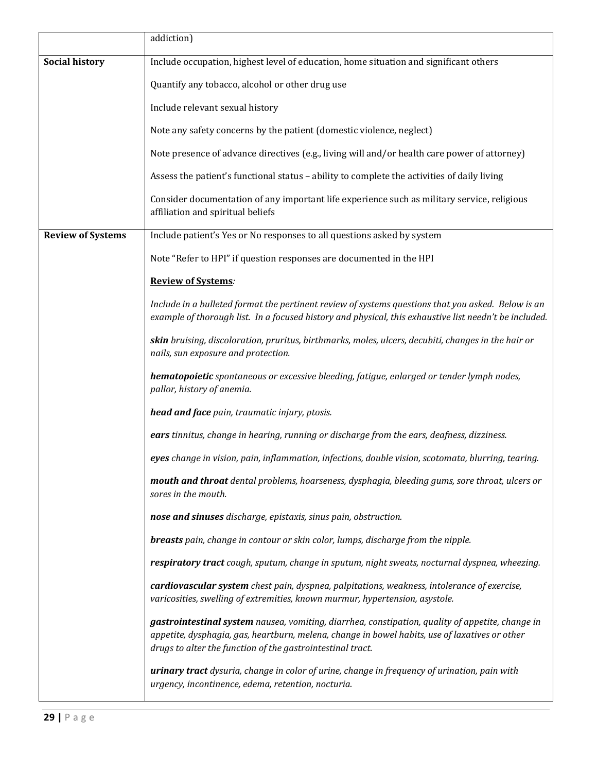|                          | addiction)                                                                                                                                                                                                                                                       |
|--------------------------|------------------------------------------------------------------------------------------------------------------------------------------------------------------------------------------------------------------------------------------------------------------|
| <b>Social history</b>    | Include occupation, highest level of education, home situation and significant others                                                                                                                                                                            |
|                          | Quantify any tobacco, alcohol or other drug use                                                                                                                                                                                                                  |
|                          | Include relevant sexual history                                                                                                                                                                                                                                  |
|                          | Note any safety concerns by the patient (domestic violence, neglect)                                                                                                                                                                                             |
|                          | Note presence of advance directives (e.g., living will and/or health care power of attorney)                                                                                                                                                                     |
|                          | Assess the patient's functional status - ability to complete the activities of daily living                                                                                                                                                                      |
|                          | Consider documentation of any important life experience such as military service, religious<br>affiliation and spiritual beliefs                                                                                                                                 |
| <b>Review of Systems</b> | Include patient's Yes or No responses to all questions asked by system                                                                                                                                                                                           |
|                          | Note "Refer to HPI" if question responses are documented in the HPI                                                                                                                                                                                              |
|                          | <b>Review of Systems:</b>                                                                                                                                                                                                                                        |
|                          | Include in a bulleted format the pertinent review of systems questions that you asked. Below is an<br>example of thorough list. In a focused history and physical, this exhaustive list needn't be included.                                                     |
|                          | skin bruising, discoloration, pruritus, birthmarks, moles, ulcers, decubiti, changes in the hair or<br>nails, sun exposure and protection.                                                                                                                       |
|                          | hematopoietic spontaneous or excessive bleeding, fatigue, enlarged or tender lymph nodes,<br>pallor, history of anemia.                                                                                                                                          |
|                          | head and face pain, traumatic injury, ptosis.                                                                                                                                                                                                                    |
|                          | ears tinnitus, change in hearing, running or discharge from the ears, deafness, dizziness.                                                                                                                                                                       |
|                          | eyes change in vision, pain, inflammation, infections, double vision, scotomata, blurring, tearing.                                                                                                                                                              |
|                          | mouth and throat dental problems, hoarseness, dysphagia, bleeding gums, sore throat, ulcers or<br>sores in the mouth.                                                                                                                                            |
|                          | nose and sinuses discharge, epistaxis, sinus pain, obstruction.                                                                                                                                                                                                  |
|                          | breasts pain, change in contour or skin color, lumps, discharge from the nipple.                                                                                                                                                                                 |
|                          | respiratory tract cough, sputum, change in sputum, night sweats, nocturnal dyspnea, wheezing.                                                                                                                                                                    |
|                          | cardiovascular system chest pain, dyspnea, palpitations, weakness, intolerance of exercise,<br>varicosities, swelling of extremities, known murmur, hypertension, asystole.                                                                                      |
|                          | gastrointestinal system nausea, vomiting, diarrhea, constipation, quality of appetite, change in<br>appetite, dysphagia, gas, heartburn, melena, change in bowel habits, use of laxatives or other<br>drugs to alter the function of the gastrointestinal tract. |
|                          | urinary tract dysuria, change in color of urine, change in frequency of urination, pain with<br>urgency, incontinence, edema, retention, nocturia.                                                                                                               |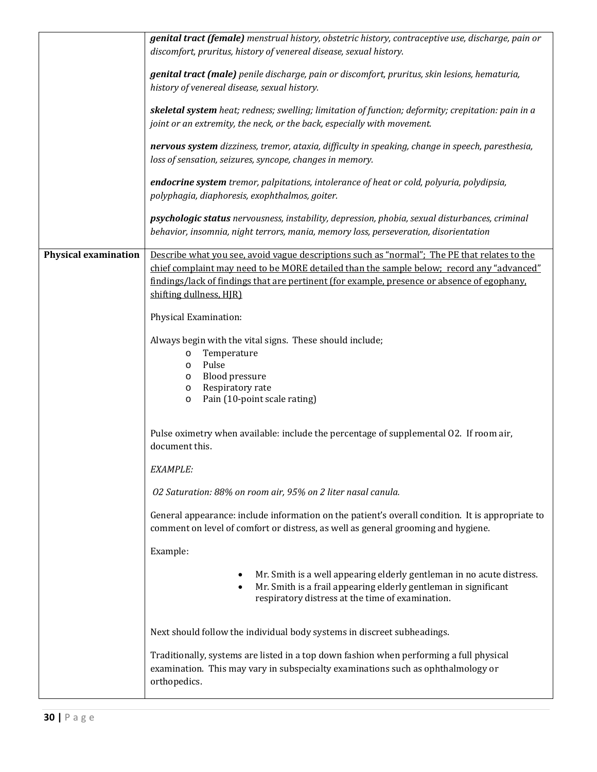|                             | genital tract (female) menstrual history, obstetric history, contraceptive use, discharge, pain or                                                                                                                                                                                                                  |
|-----------------------------|---------------------------------------------------------------------------------------------------------------------------------------------------------------------------------------------------------------------------------------------------------------------------------------------------------------------|
|                             | discomfort, pruritus, history of venereal disease, sexual history.                                                                                                                                                                                                                                                  |
|                             | genital tract (male) penile discharge, pain or discomfort, pruritus, skin lesions, hematuria,<br>history of venereal disease, sexual history.                                                                                                                                                                       |
|                             | skeletal system heat; redness; swelling; limitation of function; deformity; crepitation: pain in a<br>joint or an extremity, the neck, or the back, especially with movement.                                                                                                                                       |
|                             | nervous system dizziness, tremor, ataxia, difficulty in speaking, change in speech, paresthesia,<br>loss of sensation, seizures, syncope, changes in memory.                                                                                                                                                        |
|                             | endocrine system tremor, palpitations, intolerance of heat or cold, polyuria, polydipsia,<br>polyphagia, diaphoresis, exophthalmos, goiter.                                                                                                                                                                         |
|                             | psychologic status nervousness, instability, depression, phobia, sexual disturbances, criminal<br>behavior, insomnia, night terrors, mania, memory loss, perseveration, disorientation                                                                                                                              |
| <b>Physical examination</b> | Describe what you see, avoid vague descriptions such as "normal"; The PE that relates to the<br>chief complaint may need to be MORE detailed than the sample below; record any "advanced"<br>findings/lack of findings that are pertinent (for example, presence or absence of egophany,<br>shifting dullness, HJR) |
|                             | Physical Examination:                                                                                                                                                                                                                                                                                               |
|                             | Always begin with the vital signs. These should include;<br>Temperature<br>$\circ$<br>Pulse<br>$\circ$<br><b>Blood pressure</b><br>$\circ$<br>Respiratory rate<br>$\circ$<br>Pain (10-point scale rating)<br>$\circ$                                                                                                |
|                             | Pulse oximetry when available: include the percentage of supplemental O2. If room air,<br>document this.                                                                                                                                                                                                            |
|                             | EXAMPLE:                                                                                                                                                                                                                                                                                                            |
|                             | 02 Saturation: 88% on room air, 95% on 2 liter nasal canula.                                                                                                                                                                                                                                                        |
|                             | General appearance: include information on the patient's overall condition. It is appropriate to<br>comment on level of comfort or distress, as well as general grooming and hygiene.                                                                                                                               |
|                             | Example:                                                                                                                                                                                                                                                                                                            |
|                             | Mr. Smith is a well appearing elderly gentleman in no acute distress.<br>$\bullet$<br>Mr. Smith is a frail appearing elderly gentleman in significant<br>٠<br>respiratory distress at the time of examination.                                                                                                      |
|                             | Next should follow the individual body systems in discreet subheadings.                                                                                                                                                                                                                                             |
|                             | Traditionally, systems are listed in a top down fashion when performing a full physical<br>examination. This may vary in subspecialty examinations such as ophthalmology or<br>orthopedics.                                                                                                                         |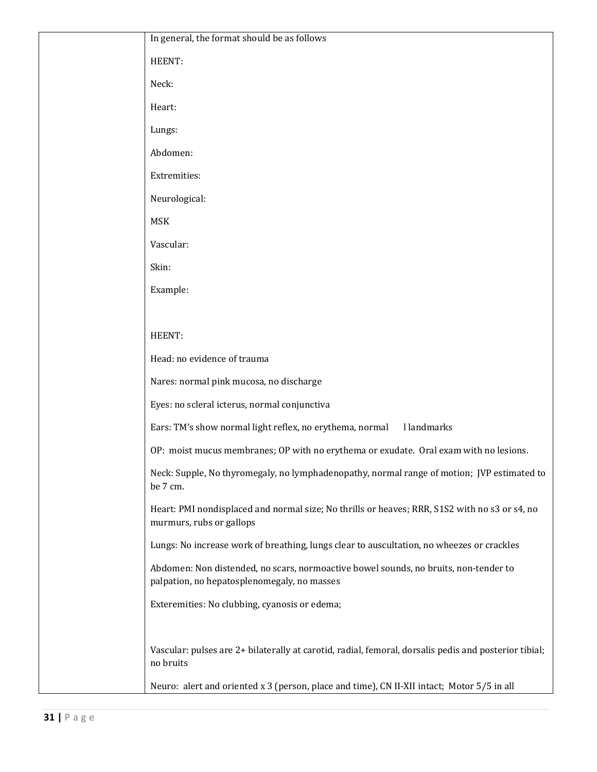| In general, the format should be as follows                                                                                         |
|-------------------------------------------------------------------------------------------------------------------------------------|
| HEENT:                                                                                                                              |
| Neck:                                                                                                                               |
| Heart:                                                                                                                              |
| Lungs:                                                                                                                              |
| Abdomen:                                                                                                                            |
| Extremities:                                                                                                                        |
| Neurological:                                                                                                                       |
| <b>MSK</b>                                                                                                                          |
| Vascular:                                                                                                                           |
| Skin:                                                                                                                               |
| Example:                                                                                                                            |
|                                                                                                                                     |
| HEENT:                                                                                                                              |
| Head: no evidence of trauma                                                                                                         |
| Nares: normal pink mucosa, no discharge                                                                                             |
| Eyes: no scleral icterus, normal conjunctiva                                                                                        |
| Ears: TM's show normal light reflex, no erythema, normal<br>l landmarks                                                             |
| OP: moist mucus membranes; OP with no erythema or exudate. Oral exam with no lesions.                                               |
| Neck: Supple, No thyromegaly, no lymphadenopathy, normal range of motion; JVP estimated to<br>be 7 cm.                              |
| Heart: PMI nondisplaced and normal size; No thrills or heaves; RRR, S1S2 with no s3 or s4, no<br>murmurs, rubs or gallops           |
| Lungs: No increase work of breathing, lungs clear to auscultation, no wheezes or crackles                                           |
| Abdomen: Non distended, no scars, normoactive bowel sounds, no bruits, non-tender to<br>palpation, no hepatosplenomegaly, no masses |
| Exteremities: No clubbing, cyanosis or edema;                                                                                       |
| Vascular: pulses are 2+ bilaterally at carotid, radial, femoral, dorsalis pedis and posterior tibial;<br>no bruits                  |
| Neuro: alert and oriented x 3 (person, place and time), CN II-XII intact; Motor 5/5 in all                                          |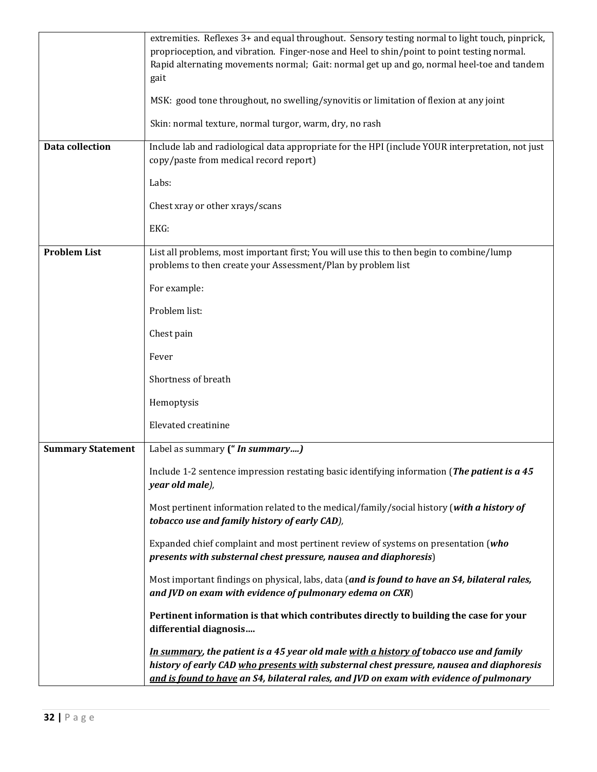|                          | extremities. Reflexes 3+ and equal throughout. Sensory testing normal to light touch, pinprick,<br>proprioception, and vibration. Finger-nose and Heel to shin/point to point testing normal.<br>Rapid alternating movements normal; Gait: normal get up and go, normal heel-toe and tandem<br>gait |
|--------------------------|-----------------------------------------------------------------------------------------------------------------------------------------------------------------------------------------------------------------------------------------------------------------------------------------------------|
|                          | MSK: good tone throughout, no swelling/synovitis or limitation of flexion at any joint                                                                                                                                                                                                              |
|                          | Skin: normal texture, normal turgor, warm, dry, no rash                                                                                                                                                                                                                                             |
| <b>Data collection</b>   | Include lab and radiological data appropriate for the HPI (include YOUR interpretation, not just<br>copy/paste from medical record report)                                                                                                                                                          |
|                          | Labs:                                                                                                                                                                                                                                                                                               |
|                          | Chest xray or other xrays/scans                                                                                                                                                                                                                                                                     |
|                          | EKG:                                                                                                                                                                                                                                                                                                |
| <b>Problem List</b>      | List all problems, most important first; You will use this to then begin to combine/lump<br>problems to then create your Assessment/Plan by problem list                                                                                                                                            |
|                          | For example:                                                                                                                                                                                                                                                                                        |
|                          | Problem list:                                                                                                                                                                                                                                                                                       |
|                          | Chest pain                                                                                                                                                                                                                                                                                          |
|                          | Fever                                                                                                                                                                                                                                                                                               |
|                          | Shortness of breath                                                                                                                                                                                                                                                                                 |
|                          | Hemoptysis                                                                                                                                                                                                                                                                                          |
|                          | Elevated creatinine                                                                                                                                                                                                                                                                                 |
| <b>Summary Statement</b> | Label as summary (" In summary)                                                                                                                                                                                                                                                                     |
|                          | Include 1-2 sentence impression restating basic identifying information (The patient is a 45<br>year old male),                                                                                                                                                                                     |
|                          | Most pertinent information related to the medical/family/social history (with a history of<br>tobacco use and family history of early CAD),                                                                                                                                                         |
|                          | Expanded chief complaint and most pertinent review of systems on presentation (who<br>presents with substernal chest pressure, nausea and diaphoresis)                                                                                                                                              |
|                          | Most important findings on physical, labs, data (and is found to have an S4, bilateral rales,<br>and JVD on exam with evidence of pulmonary edema on CXR)                                                                                                                                           |
|                          | Pertinent information is that which contributes directly to building the case for your<br>differential diagnosis                                                                                                                                                                                    |
|                          | In summary, the patient is a 45 year old male with a history of tobacco use and family<br>history of early CAD who presents with substernal chest pressure, nausea and diaphoresis<br>and is found to have an S4, bilateral rales, and JVD on exam with evidence of pulmonary                       |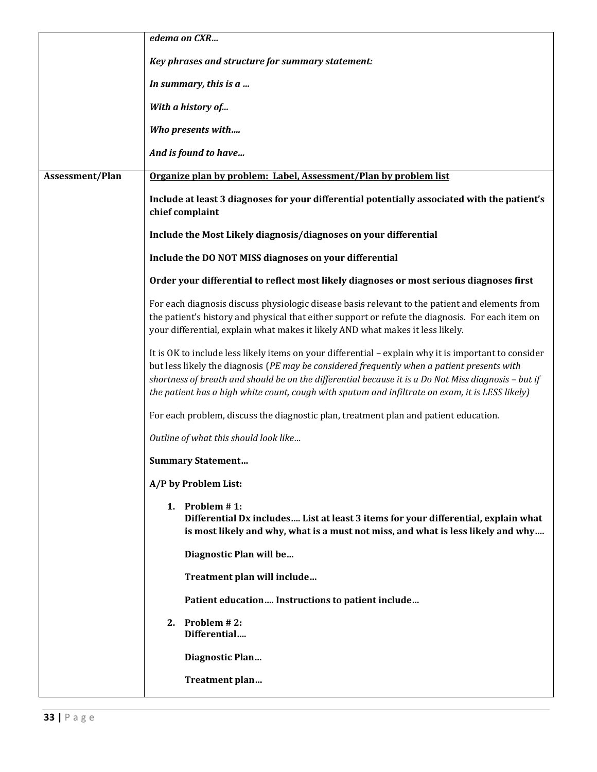|                 | edema on CXR                                                                                                                                                                                                                                                                                                                                                                                                    |
|-----------------|-----------------------------------------------------------------------------------------------------------------------------------------------------------------------------------------------------------------------------------------------------------------------------------------------------------------------------------------------------------------------------------------------------------------|
|                 | Key phrases and structure for summary statement:                                                                                                                                                                                                                                                                                                                                                                |
|                 | In summary, this is a                                                                                                                                                                                                                                                                                                                                                                                           |
|                 | With a history of                                                                                                                                                                                                                                                                                                                                                                                               |
|                 | Who presents with                                                                                                                                                                                                                                                                                                                                                                                               |
|                 | And is found to have                                                                                                                                                                                                                                                                                                                                                                                            |
| Assessment/Plan | Organize plan by problem: Label, Assessment/Plan by problem list                                                                                                                                                                                                                                                                                                                                                |
|                 | Include at least 3 diagnoses for your differential potentially associated with the patient's<br>chief complaint                                                                                                                                                                                                                                                                                                 |
|                 | Include the Most Likely diagnosis/diagnoses on your differential                                                                                                                                                                                                                                                                                                                                                |
|                 | Include the DO NOT MISS diagnoses on your differential                                                                                                                                                                                                                                                                                                                                                          |
|                 | Order your differential to reflect most likely diagnoses or most serious diagnoses first                                                                                                                                                                                                                                                                                                                        |
|                 | For each diagnosis discuss physiologic disease basis relevant to the patient and elements from<br>the patient's history and physical that either support or refute the diagnosis. For each item on<br>your differential, explain what makes it likely AND what makes it less likely.                                                                                                                            |
|                 | It is OK to include less likely items on your differential - explain why it is important to consider<br>but less likely the diagnosis (PE may be considered frequently when a patient presents with<br>shortness of breath and should be on the differential because it is a Do Not Miss diagnosis - but if<br>the patient has a high white count, cough with sputum and infiltrate on exam, it is LESS likely) |
|                 | For each problem, discuss the diagnostic plan, treatment plan and patient education.                                                                                                                                                                                                                                                                                                                            |
|                 | Outline of what this should look like                                                                                                                                                                                                                                                                                                                                                                           |
|                 | <b>Summary Statement</b>                                                                                                                                                                                                                                                                                                                                                                                        |
|                 | A/P by Problem List:                                                                                                                                                                                                                                                                                                                                                                                            |
|                 | 1. Problem $# 1$ :<br>Differential Dx includes List at least 3 items for your differential, explain what<br>is most likely and why, what is a must not miss, and what is less likely and why                                                                                                                                                                                                                    |
|                 | Diagnostic Plan will be                                                                                                                                                                                                                                                                                                                                                                                         |
|                 | Treatment plan will include                                                                                                                                                                                                                                                                                                                                                                                     |
|                 | Patient education Instructions to patient include                                                                                                                                                                                                                                                                                                                                                               |
|                 | 2. Problem $#2$ :<br>Differential                                                                                                                                                                                                                                                                                                                                                                               |
|                 | Diagnostic Plan                                                                                                                                                                                                                                                                                                                                                                                                 |
|                 | Treatment plan                                                                                                                                                                                                                                                                                                                                                                                                  |